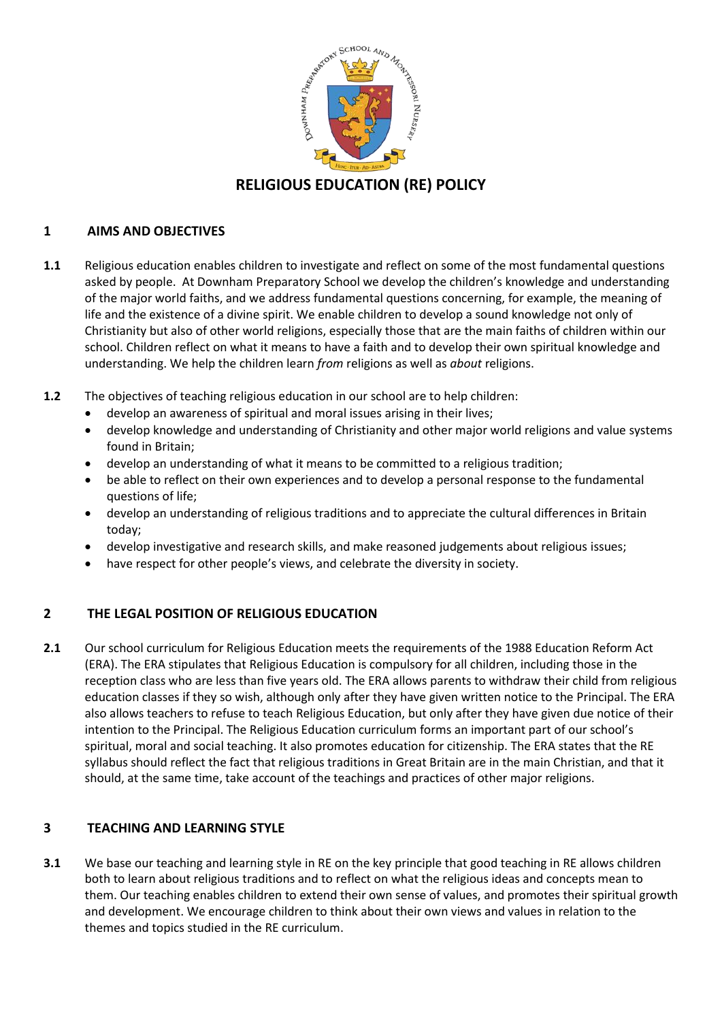

## **1 AIMS AND OBJECTIVES**

- **1.1** Religious education enables children to investigate and reflect on some of the most fundamental questions asked by people. At Downham Preparatory School we develop the children's knowledge and understanding of the major world faiths, and we address fundamental questions concerning, for example, the meaning of life and the existence of a divine spirit. We enable children to develop a sound knowledge not only of Christianity but also of other world religions, especially those that are the main faiths of children within our school. Children reflect on what it means to have a faith and to develop their own spiritual knowledge and understanding. We help the children learn *from* religions as well as *about* religions.
- **1.2** The objectives of teaching religious education in our school are to help children:
	- develop an awareness of spiritual and moral issues arising in their lives;
	- develop knowledge and understanding of Christianity and other major world religions and value systems found in Britain;
	- develop an understanding of what it means to be committed to a religious tradition;
	- be able to reflect on their own experiences and to develop a personal response to the fundamental questions of life;
	- develop an understanding of religious traditions and to appreciate the cultural differences in Britain today;
	- develop investigative and research skills, and make reasoned judgements about religious issues;
	- have respect for other people's views, and celebrate the diversity in society.

# **2 THE LEGAL POSITION OF RELIGIOUS EDUCATION**

**2.1** Our school curriculum for Religious Education meets the requirements of the 1988 Education Reform Act (ERA). The ERA stipulates that Religious Education is compulsory for all children, including those in the reception class who are less than five years old. The ERA allows parents to withdraw their child from religious education classes if they so wish, although only after they have given written notice to the Principal. The ERA also allows teachers to refuse to teach Religious Education, but only after they have given due notice of their intention to the Principal. The Religious Education curriculum forms an important part of our school's spiritual, moral and social teaching. It also promotes education for citizenship. The ERA states that the RE syllabus should reflect the fact that religious traditions in Great Britain are in the main Christian, and that it should, at the same time, take account of the teachings and practices of other major religions.

# **3 TEACHING AND LEARNING STYLE**

**3.1** We base our teaching and learning style in RE on the key principle that good teaching in RE allows children both to learn about religious traditions and to reflect on what the religious ideas and concepts mean to them. Our teaching enables children to extend their own sense of values, and promotes their spiritual growth and development. We encourage children to think about their own views and values in relation to the themes and topics studied in the RE curriculum.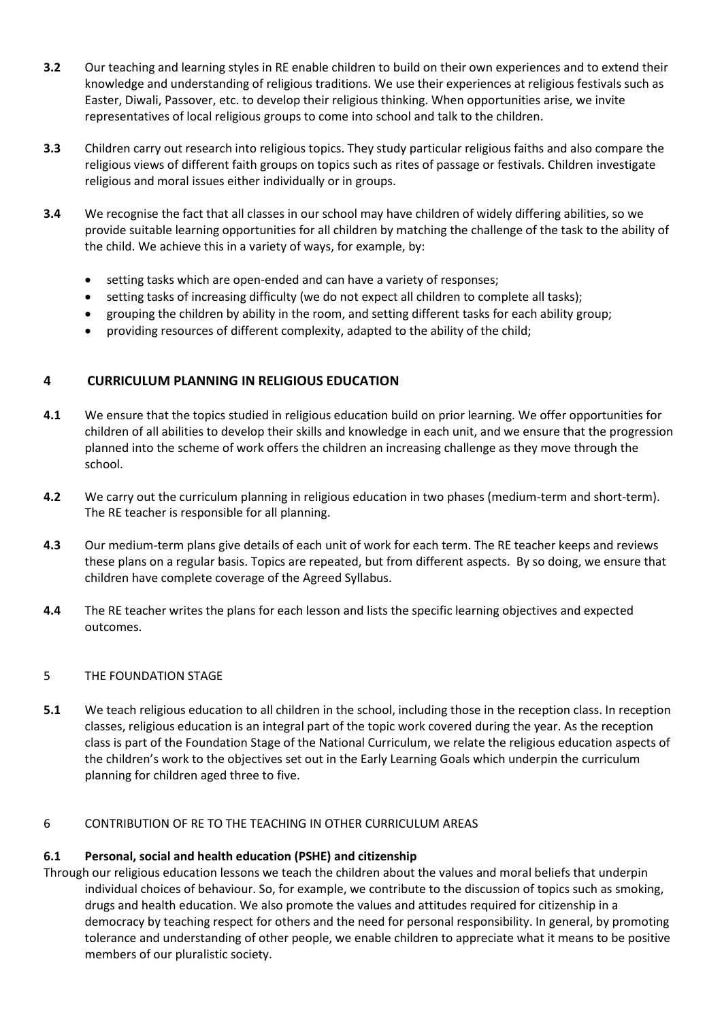- **3.2** Our teaching and learning styles in RE enable children to build on their own experiences and to extend their knowledge and understanding of religious traditions. We use their experiences at religious festivals such as Easter, Diwali, Passover, etc. to develop their religious thinking. When opportunities arise, we invite representatives of local religious groups to come into school and talk to the children.
- **3.3** Children carry out research into religious topics. They study particular religious faiths and also compare the religious views of different faith groups on topics such as rites of passage or festivals. Children investigate religious and moral issues either individually or in groups.
- **3.4** We recognise the fact that all classes in our school may have children of widely differing abilities, so we provide suitable learning opportunities for all children by matching the challenge of the task to the ability of the child. We achieve this in a variety of ways, for example, by:
	- setting tasks which are open-ended and can have a variety of responses;
	- setting tasks of increasing difficulty (we do not expect all children to complete all tasks);
	- grouping the children by ability in the room, and setting different tasks for each ability group;
	- providing resources of different complexity, adapted to the ability of the child;

## **4 CURRICULUM PLANNING IN RELIGIOUS EDUCATION**

- **4.1** We ensure that the topics studied in religious education build on prior learning. We offer opportunities for children of all abilities to develop their skills and knowledge in each unit, and we ensure that the progression planned into the scheme of work offers the children an increasing challenge as they move through the school.
- **4.2** We carry out the curriculum planning in religious education in two phases (medium-term and short-term). The RE teacher is responsible for all planning.
- **4.3** Our medium-term plans give details of each unit of work for each term. The RE teacher keeps and reviews these plans on a regular basis. Topics are repeated, but from different aspects. By so doing, we ensure that children have complete coverage of the Agreed Syllabus.
- **4.4** The RE teacher writes the plans for each lesson and lists the specific learning objectives and expected outcomes.

### 5 THE FOUNDATION STAGE

**5.1** We teach religious education to all children in the school, including those in the reception class. In reception classes, religious education is an integral part of the topic work covered during the year. As the reception class is part of the Foundation Stage of the National Curriculum, we relate the religious education aspects of the children's work to the objectives set out in the Early Learning Goals which underpin the curriculum planning for children aged three to five.

### 6 CONTRIBUTION OF RE TO THE TEACHING IN OTHER CURRICULUM AREAS

### **6.1 Personal, social and health education (PSHE) and citizenship**

Through our religious education lessons we teach the children about the values and moral beliefs that underpin individual choices of behaviour. So, for example, we contribute to the discussion of topics such as smoking, drugs and health education. We also promote the values and attitudes required for citizenship in a democracy by teaching respect for others and the need for personal responsibility. In general, by promoting tolerance and understanding of other people, we enable children to appreciate what it means to be positive members of our pluralistic society.